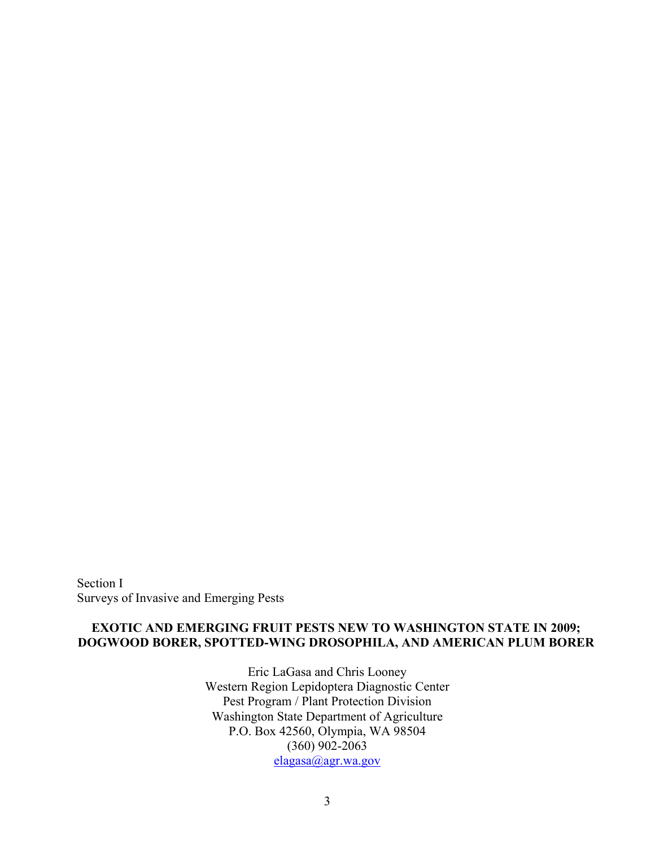Section I Surveys of Invasive and Emerging Pests

## **EXOTIC AND EMERGING FRUIT PESTS NEW TO WASHINGTON STATE IN 2009; DOGWOOD BORER, SPOTTED-WING DROSOPHILA, AND AMERICAN PLUM BORER**

Eric LaGasa and Chris Looney Western Region Lepidoptera Diagnostic Center Pest Program / Plant Protection Division Washington State Department of Agriculture P.O. Box 42560, Olympia, WA 98504 (360) 902-2063 [elagasa@agr.wa.gov](mailto:elagasa@agr.wa.gov)